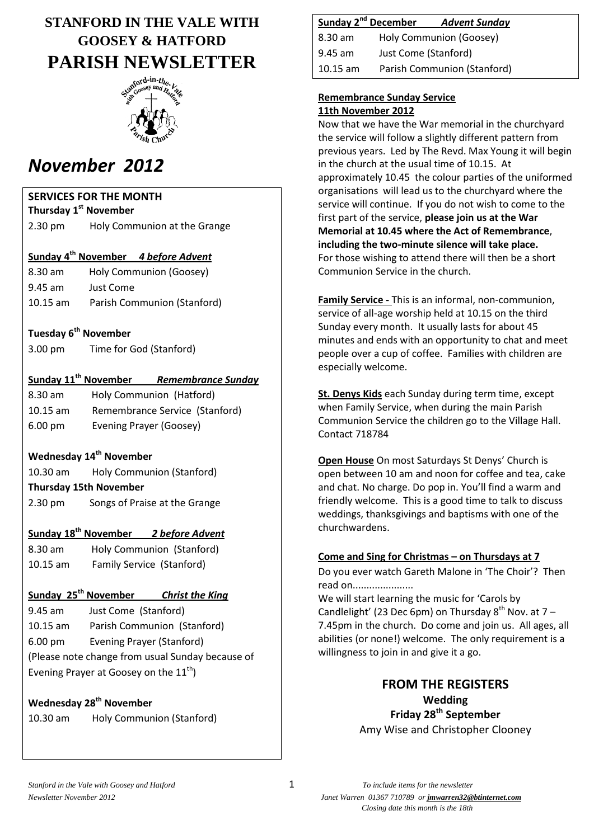# **STANFORD IN THE VALE WITH GOOSEY & HATFORD PARISH NEWSLETTER**



# *November 2012*

### **SERVICES FOR THE MONTH**

**Thursday 1 st November** 2.30 pm Holy Communion at the Grange

### **Sunday 4 th November** *4 before Advent*

| 8.30 am    | Holy Communion (Goosey)     |
|------------|-----------------------------|
| $9.45$ am  | Just Come                   |
| $10.15$ am | Parish Communion (Stanford) |

### **Tuesday 6th November**

| 3.00 pm | Time for God (Stanford) |
|---------|-------------------------|
|---------|-------------------------|

### **Sunday 11th November** *Remembrance Sunday*

8.30 am Holy Communion (Hatford) 10.15 am Remembrance Service (Stanford) 6.00 pm Evening Prayer (Goosey)

### **Wednesday 14th November**

10.30 am Holy Communion (Stanford) **Thursday 15th November**

2.30 pm Songs of Praise at the Grange

### **Sunday 18th November** *2 before Advent*

8.30 am Holy Communion (Stanford) 10.15 am Family Service (Stanford)

### **Sunday 25th November** *Christ the King*

9.45 am Just Come (Stanford) 10.15 am Parish Communion (Stanford) 6.00 pm Evening Prayer (Stanford) (Please note change from usual Sunday because of Evening Prayer at Goosey on the  $11^{th}$ )

### **Wednesday 28th November**

# **Sunday 2nd December** *Advent Sunday*

| $8.30 \text{ am}$ | Holy Communion (Goosey)     |
|-------------------|-----------------------------|
| $9.45$ am         | Just Come (Stanford)        |
| $10.15$ am        | Parish Communion (Stanford) |

#### **Remembrance Sunday Service 11th November 2012**

Now that we have the War memorial in the churchyard the service will follow a slightly different pattern from previous years. Led by The Revd. Max Young it will begin in the church at the usual time of 10.15. At approximately 10.45 the colour parties of the uniformed organisations will lead us to the churchyard where the service will continue. If you do not wish to come to the first part of the service, **please join us at the War Memorial at 10.45 where the Act of Remembrance**, **including the two-minute silence will take place.** For those wishing to attend there will then be a short Communion Service in the church.

**Family Service -** This is an informal, non-communion, service of all-age worship held at 10.15 on the third Sunday every month. It usually lasts for about 45 minutes and ends with an opportunity to chat and meet people over a cup of coffee. Families with children are especially welcome.

**St. Denys Kids** each Sunday during term time, except when Family Service, when during the main Parish Communion Service the children go to the Village Hall. Contact 718784

**Open House** On most Saturdays St Denys' Church is open between 10 am and noon for coffee and tea, cake and chat. No charge. Do pop in. You'll find a warm and friendly welcome. This is a good time to talk to discuss weddings, thanksgivings and baptisms with one of the churchwardens.

### **Come and Sing for Christmas – on Thursdays at 7**

Do you ever watch Gareth Malone in 'The Choir'? Then read on......................

We will start learning the music for 'Carols by Candlelight' (23 Dec 6pm) on Thursday  $8^{th}$  Nov. at 7 – 7.45pm in the church. Do come and join us. All ages, all abilities (or none!) welcome. The only requirement is a willingness to join in and give it a go.

> **FROM THE REGISTERS Wedding Friday 28th September** Amy Wise and Christopher Clooney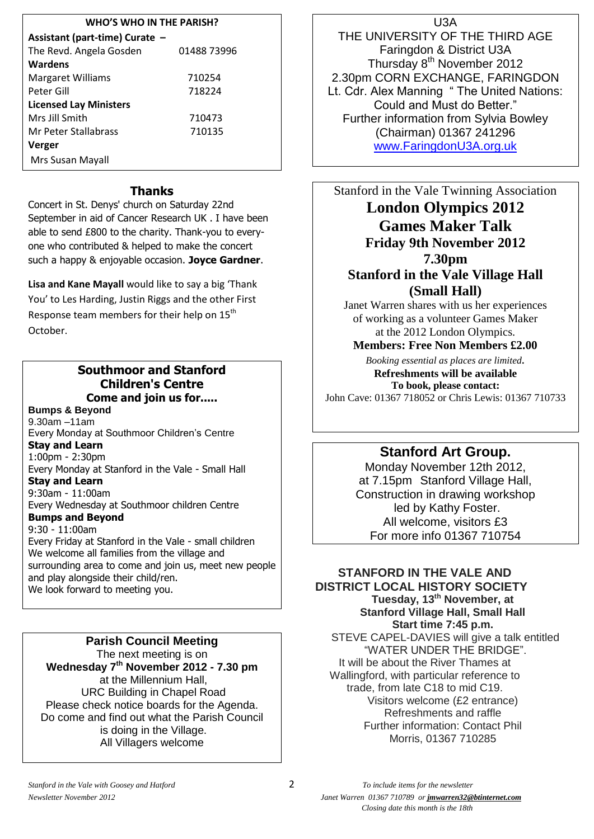#### **WHO'S WHO IN THE PARISH?**

| Assistant (part-time) Curate -<br>The Revd. Angela Gosden | 01488 73996 |
|-----------------------------------------------------------|-------------|
| Wardens                                                   |             |
|                                                           |             |
| <b>Margaret Williams</b>                                  | 710254      |
| Peter Gill                                                | 718224      |
| <b>Licensed Lay Ministers</b>                             |             |
| Mrs Jill Smith                                            | 710473      |
| Mr Peter Stallabrass                                      | 710135      |
| Verger                                                    |             |
| Mrs Susan Mayall                                          |             |

### **Thanks**

Concert in St. Denys' church on Saturday 22nd September in aid of Cancer Research UK . I have been able to send £800 to the charity. Thank-you to everyone who contributed & helped to make the concert such a happy & enjoyable occasion. **Joyce Gardner**.

**Lisa and Kane Mayall** would like to say a big 'Thank You' to Les Harding, Justin Riggs and the other First Response team members for their help on 15<sup>th</sup> October.

### **Southmoor and Stanford Children's Centre Come and join us for.....**

**Bumps & Beyond**

9.30am –11am Every Monday at Southmoor Children's Centre **Stay and Learn**

1:00pm - 2:30pm Every Monday at Stanford in the Vale - Small Hall

### **Stay and Learn**

9:30am - 11:00am

Every Wednesday at Southmoor children Centre **Bumps and Beyond**

#### 9:30 - 11:00am

Every Friday at Stanford in the Vale - small children We welcome all families from the village and surrounding area to come and join us, meet new people and play alongside their child/ren. We look forward to meeting you.

**Parish Council Meeting** The next meeting is on **Wednesday 7th November 2012 - 7.30 pm** at the Millennium Hall, URC Building in Chapel Road Please check notice boards for the Agenda. Do come and find out what the Parish Council is doing in the Village. All Villagers welcome

THE UNIVERSITY OF THE THIRD AGE Faringdon & District U3A Thursday 8<sup>th</sup> November 2012 2.30pm CORN EXCHANGE, FARINGDON Lt. Cdr. Alex Manning " The United Nations: Could and Must do Better." Further information from Sylvia Bowley (Chairman) 01367 241296 [www.FaringdonU3A.org.uk](http://www.faringdonu3a.org.uk/)

Stanford in the Vale Twinning Association **London Olympics 2012 Games Maker Talk Friday 9th November 2012 7.30pm Stanford in the Vale Village Hall (Small Hall)**

Janet Warren shares with us her experiences of working as a volunteer Games Maker at the 2012 London Olympics.

#### **Members: Free Non Members £2.00**

*Booking essential as places are limited.* **Refreshments will be available To book, please contact:** John Cave: 01367 718052 or Chris Lewis: 01367 710733

### **Stanford Art Group.**

Monday November 12th 2012, at 7.15pm Stanford Village Hall, Construction in drawing workshop led by Kathy Foster. All welcome, visitors £3 For more info 01367 710754

#### **STANFORD IN THE VALE AND DISTRICT LOCAL HISTORY SOCIETY Tuesday, 13th November, at Stanford Village Hall, Small Hall Start time 7:45 p.m.** STEVE CAPEL-DAVIES will give a talk entitled "WATER UNDER THE BRIDGE". It will be about the River Thames at Wallingford, with particular reference to

trade, from late C18 to mid C19. Visitors welcome (£2 entrance) Refreshments and raffle Further information: Contact Phil Morris, 01367 710285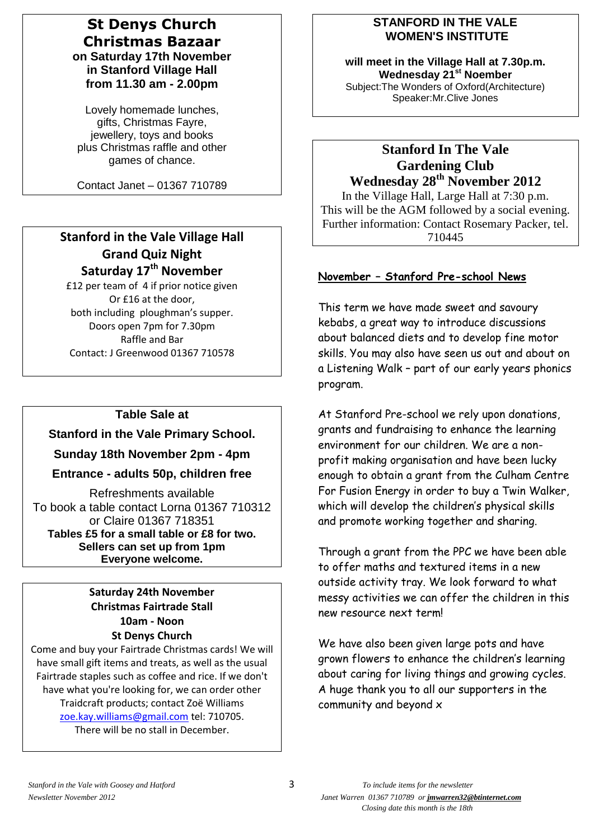### **St Denys Church Christmas Bazaar on Saturday 17th November in Stanford Village Hall from 11.30 am - 2.00pm**

Lovely homemade lunches, gifts, Christmas Fayre, jewellery, toys and books plus Christmas raffle and other games of chance.

Contact Janet – 01367 710789

### **Stanford in the Vale Village Hall Grand Quiz Night Saturday 17th November**

£12 per team of 4 if prior notice given Or £16 at the door, both including ploughman's supper. Doors open 7pm for 7.30pm Raffle and Bar Contact: J Greenwood 01367 710578

### **Table Sale at**

**Stanford in the Vale Primary School.**

**Sunday 18th November 2pm - 4pm**

#### **Entrance - adults 50p, children free**

Refreshments available To book a table contact Lorna 01367 710312 or Claire 01367 718351 **Tables £5 for a small table or £8 for two. Sellers can set up from 1pm Everyone welcome.**

### **Saturday 24th November Christmas Fairtrade Stall 10am - Noon St Denys Church**

Come and buy your Fairtrade Christmas cards! We will have small gift items and treats, as well as the usual Fairtrade staples such as coffee and rice. If we don't have what you're looking for, we can order other Traidcraft products; contact Zoë Williams [zoe.kay.williams@gmail.com](mailto:zoe.kay.williams@gmail.com) tel: 710705. There will be no stall in December.

### **STANFORD IN THE VALE WOMEN'S INSTITUTE**

**will meet in the Village Hall at 7.30p.m. Wednesday 21st Noember** Subject:The Wonders of Oxford(Architecture) Speaker:Mr.Clive Jones

### **Stanford In The Vale Gardening Club Wednesday 28th November 2012**

In the Village Hall, Large Hall at 7:30 p.m. This will be the AGM followed by a social evening. Further information: Contact Rosemary Packer, tel. 710445

### **November – Stanford Pre-school News**

This term we have made sweet and savoury kebabs, a great way to introduce discussions about balanced diets and to develop fine motor skills. You may also have seen us out and about on a Listening Walk – part of our early years phonics program.

At Stanford Pre-school we rely upon donations, grants and fundraising to enhance the learning environment for our children. We are a nonprofit making organisation and have been lucky enough to obtain a grant from the Culham Centre For Fusion Energy in order to buy a Twin Walker, which will develop the children's physical skills and promote working together and sharing.

Through a grant from the PPC we have been able to offer maths and textured items in a new outside activity tray. We look forward to what messy activities we can offer the children in this new resource next term!

We have also been given large pots and have grown flowers to enhance the children's learning about caring for living things and growing cycles. A huge thank you to all our supporters in the community and beyond x